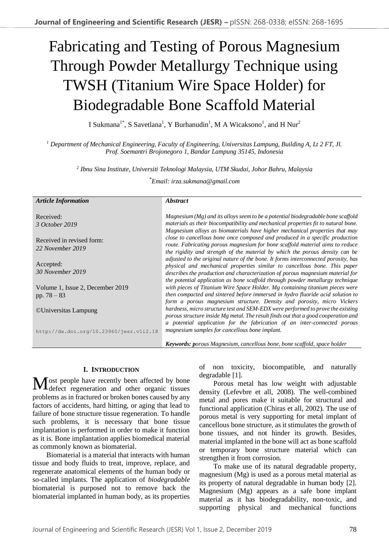# Fabricating and Testing of Porous Magnesium Through Powder Metallurgy Technique using TWSH (Titanium Wire Space Holder) for Biodegradable Bone Scaffold Material

I Sukmana<sup>1\*</sup>, S Savetlana<sup>1</sup>, Y Burhanudin<sup>1</sup>, M A Wicaksono<sup>1</sup>, and H Nur<sup>2</sup>

*<sup>1</sup> Department of Mechanical Engineering, Faculty of Engineering, Universitas Lampung, Building A, Lt 2 FT, Jl. Prof. Soemantri Brojonegoro 1, Bandar Lampung 35145, Indonesia* 

*2 Ibnu Sina Institute, Universiti Teknologi Malaysia, UTM Skudai, Johor Bahru, Malaysia* 

\**Email: irza.sukmana@gmail.com*

| <b>Article Information</b>                        | <i><b>Abstract</b></i>                                                                                                                                                                                                                                                                                                      |
|---------------------------------------------------|-----------------------------------------------------------------------------------------------------------------------------------------------------------------------------------------------------------------------------------------------------------------------------------------------------------------------------|
| Received:<br>3 October 2019                       | Magnesium (Mg) and its alloys seem to be a potential biodegradable bone scaffold<br>materials as their biocompatibility and mechanical properties fit to natural bone.<br>Magnesium alloys as biomaterials have higher mechanical properties that may                                                                       |
| Received in revised form:<br>22 November 2019     | close to cancellous bone once composed and produced in a specific production<br>route. Fabricating porous magnesium for bone scaffold material aims to reduce<br>the rigidity and strength of the material by which the porous density can be                                                                               |
| Accepted:<br>30 November 2019                     | adjusted to the original nature of the bone. It forms interconnected porosity, has<br>physical and mechanical properties similar to cancellous bone. This paper<br>describes the production and characterization of porous magnesium material for                                                                           |
| Volume 1, Issue 2, December 2019<br>pp. $78 - 83$ | the potential application as bone scaffold through powder metallurgy technique<br>with pieces of Titanium Wire Space Holder. Mg containing titanium pieces were<br>then compacted and sintered before immersed in hydro fluoride acid solution to<br>form a porous magnesium structure. Density and porosity, micro Vickers |
| ©Universitas Lampung                              | hardness, micro structure test and SEM-EDX were performed to prove the existing<br>porous structure inside Mg metal. The result finds out that a good cooperation and                                                                                                                                                       |
| http://dx.doi.org/10.23960/jesr.vli2.18           | a potential application for the fabrication of an inter-connected porous<br>magnesium samples for cancellous bone implant.                                                                                                                                                                                                  |
|                                                   | <b>Keywords:</b> porous Magnesium, cancellous bone, bone scaffold, space holder                                                                                                                                                                                                                                             |

# **I. INTRODUCTION**

I ost people have recently been affected by bone Most people have recently been affected by bone<br>defect regeneration and other organic tissues problems as in fractured or broken bones caused by any factors of accidents, hard hitting, or aging that lead to failure of bone structure tissue regeneration. To handle such problems, it is necessary that bone tissue implantation is performed in order to make it function as it is. Bone implantation applies biomedical material as commonly known as biomaterial.

Biomaterial is a material that interacts with human tissue and body fluids to treat, improve, replace, and regenerate anatomical elements of the human body or so-called implants. The application of *biodegradable* biomaterial is purposed not to remove back the biomaterial implanted in human body, as its properties of non toxicity, biocompatible, and naturally degradable [1].

Porous metal has low weight with adjustable density (Lefevbre et all, 2008). The well-combined metal and pores make it suitable for structural and functional application (Chiras et all, 2002). The use of porous metal is very supporting for metal implant of cancellous bone structure, as it stimulates the growth of bone tissues, and not hinder its growth. Besides, material implanted in the bone will act as bone scaffold or temporary bone structure material which can strengthen it from corrosion.

To make use of its natural degradable property, magnesium (Mg) is used as a porous metal material as its property of natural degradable in human body [2]. Magnesium (Mg) appears as a safe bone implant material as it has biodegradability, non-toxic, and supporting physical and mechanical functions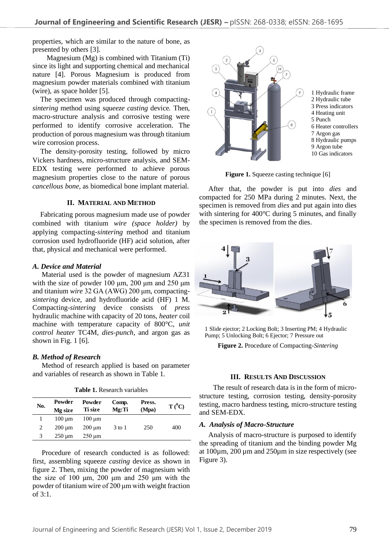properties, which are similar to the nature of bone, as presented by others [3].

Magnesium (Mg) is combined with Titanium (Ti) since its light and supporting chemical and mechanical nature [4]. Porous Magnesium is produced from magnesium powder materials combined with titanium (wire), as space holder [5].

The specimen was produced through compacting*sintering* method using *squeeze casting* device*.* Then, macro-structure analysis and corrosive testing were performed to identify corrosive acceleration. The production of porous magnesium was through titanium wire corrosion process.

The density-porosity testing, followed by micro Vickers hardness, micro-structure analysis, and SEM-EDX testing were performed to achieve porous magnesium properties close to the nature of porous *cancellous bone,* as biomedical bone implant material.

#### **II. MATERIAL AND METHOD**

Fabricating porous magnesium made use of powder combined with titanium *wire (space holder)* by applying compacting-*sintering* method and titanium corrosion used hydrofluoride (HF) acid solution, after that, physical and mechanical were performed.

## *A. Device and Material*

Material used is the powder of magnesium AZ31 with the size of powder  $100 \mu m$ ,  $200 \mu m$  and  $250 \mu m$ and titanium *wire* 32 GA (AWG) 200 μm*,* compacting*sintering* device*,* and hydrofluoride acid (HF) 1 M. Compacting-*sintering* device consists of *press* hydraulic machine with capacity of 20 tons, *heater* coil machine with temperature capacity of 800°C, *unit control heater* TC4M, *dies-punch,* and argon gas as shown in Fig.  $1 \times 6$ .

# *B. Method of Research*

Method of research applied is based on parameter and variables of research as shown in Table 1.

| No. | Powder      | Powder      | Comp.    | Press. | $T(^{0}C)$ |
|-----|-------------|-------------|----------|--------|------------|
|     | Mg size     | Ti size     | Mg:Ti    | (Mpa)  |            |
|     | $100 \mu m$ | $100 \mu m$ |          |        |            |
| 2   | $200 \mu m$ | $200 \mu m$ | $3$ to 1 | 250    | 400        |
| 3   | $250 \mu m$ | $250 \mu m$ |          |        |            |

**Table 1.** Research variables

Procedure of research conducted is as followed: first, assembling squeeze *casting* device as shown in figure 2. Then, mixing the powder of magnesium with the size of 100  $\mu$ m, 200  $\mu$ m and 250  $\mu$ m with the powder of titanium wire of 200 μm with weight fraction of 3:1.



**Figure 1.** Squeeze casting technique [6]

After that, the powder is put into *dies* and compacted for 250 MPa during 2 minutes. Next, the specimen is removed from *dies* and put again into dies with sintering for 400°C during 5 minutes, and finally the specimen is removed from the dies.



1 Slide ejector; 2 Locking Bolt; 3 Inserting PM; 4 Hydraulic Pump; 5 Unlocking Bolt; 6 Ejector; 7 Pressure out

**Figure 2.** Procedure of Compacting-*Sintering*

# **III. RESULTS AND DISCUSSION**

The result of research data is in the form of microstructure testing, corrosion testing, density-porosity testing, macro hardness testing, micro-structure testing and SEM-EDX.

# *A. Analysis of Macro-Structure*

Analysis of macro-structure is purposed to identify the spreading of titanium and the binding powder Mg at 100µm, 200 µm and 250µm in size respectively (see Figure 3).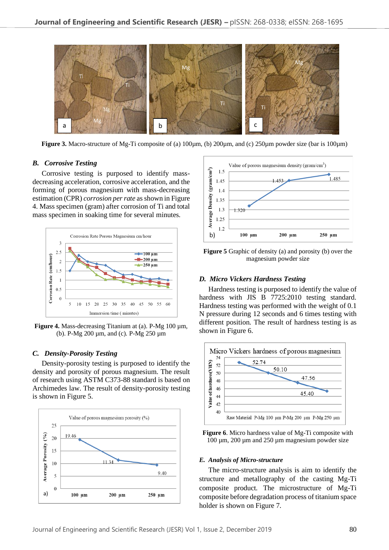

**Figure 3.** Macro-structure of Mg-Ti composite of (a) 100µm, (b) 200µm, and (c) 250µm powder size (bar is 100µm)

#### *B. Corrosive Testing*

Corrosive testing is purposed to identify massdecreasing acceleration, corrosive acceleration, and the forming of porous magnesium with mass-decreasing estimation (CPR) *corrosion per rate* as shown in Figure 4. Mass specimen (gram) after corrosion of Ti and total mass specimen in soaking time for several minutes.



**Figure 4.** Mass-decreasing Titanium at (a). P-Mg 100 µm, (b). P-Mg 200 µm, and (c). P-Mg 250 µm

# *C. Density-Porosity Testing*

Density-porosity testing is purposed to identify the density and porosity of porous magnesium. The result of research using ASTM C373-88 standard is based on Archimedes law. The result of density-porosity testing is shown in Figure 5.





**Figure 5** Graphic of density (a) and porosity (b) over the magnesium powder size

### *D. Micro Vickers Hardness Testing*

Hardness testing is purposed to identify the value of hardness with JIS B 7725:2010 testing standard. Hardness testing was performed with the weight of 0.1 N pressure during 12 seconds and 6 times testing with different position. The result of hardness testing is as shown in Figure 6.



**Figure 6**. Micro hardness value of Mg-Ti composite with 100 um, 200 um and 250 um magnesium powder size

### *E. Analysis of Micro-structure*

The micro-structure analysis is aim to identify the structure and metallography of the casting Mg-Ti composite product. The microstructure of Mg-Ti composite before degradation process of titanium space holder is shown on Figure 7.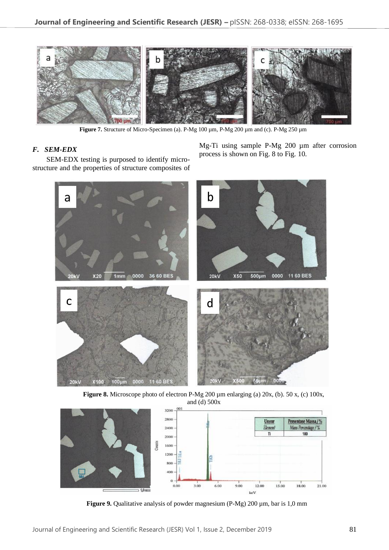

**Figure 7.** Structure of Micro-Specimen (a). P-Mg 100 µm, P-Mg 200 µm and (c). P-Mg 250 µm

# *F. SEM-EDX*

SEM-EDX testing is purposed to identify microstructure and the properties of structure composites of Mg-Ti using sample P-Mg 200 µm after corrosion process is shown on Fig. 8 to Fig. 10.



Figure 8. Microscope photo of electron P-Mg 200 µm enlarging (a) 20x, (b). 50 x, (c) 100x, and (d) 500x



**Figure 9.** Qualitative analysis of powder magnesium (P-Mg) 200 µm, bar is 1,0 mm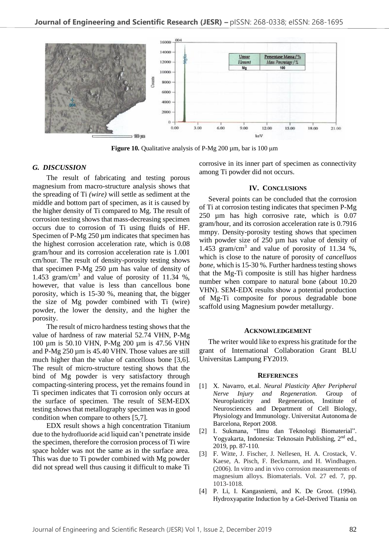

**Figure 10.** Qualitative analysis of P-Mg 200 µm, bar is 100 µm

## *G. DISCUSSION*

The result of fabricating and testing porous magnesium from macro-structure analysis shows that the spreading of Ti *(wire)* will settle as sediment at the middle and bottom part of specimen, as it is caused by the higher density of Ti compared to Mg. The result of corrosion testing shows that mass-decreasing specimen occurs due to corrosion of Ti using fluids of HF. Specimen of P-Mg  $250 \mu m$  indicates that specimen has the highest corrosion acceleration rate, which is 0.08 gram/hour and its corrosion acceleration rate is 1.001 cm/hour. The result of density-porosity testing shows that specimen P-Mg 250 µm has value of density of 1.453 gram/cm<sup>3</sup> and value of porosity of 11.34 %, however, that value is less than cancellous bone porosity, which is 15-30 %, meaning that, the bigger the size of Mg powder combined with Ti (wire) powder, the lower the density, and the higher the porosity.

The result of micro hardness testing shows that the value of hardness of raw material 52.74 VHN, P-Mg 100 µm is 50.10 VHN, P-Mg 200 µm is 47.56 VHN and P-Mg 250 µm is 45.40 VHN. Those values are still much higher than the value of cancellous bone [3,6]. The result of micro-structure testing shows that the bind of Mg powder is very satisfactory through compacting-sintering process, yet the remains found in Ti specimen indicates that Ti corrosion only occurs at the surface of specimen. The result of SEM-EDX testing shows that metallography specimen was in good condition when compare to others [5,7].

EDX result shows a high concentration Titanium due to the hydrofluoride acid liquid can't penetrate inside the specimen, therefore the corrosion process of Ti wire space holder was not the same as in the surface area. This was due to Ti powder combined with Mg powder did not spread well thus causing it difficult to make Ti corrosive in its inner part of specimen as connectivity among Ti powder did not occurs.

#### **IV. CONCLUSIONS**

Several points can be concluded that the corrosion of Ti at corrosion testing indicates that specimen P-Mg 250 µm has high corrosive rate, which is 0.07 gram/hour, and its corrosion acceleration rate is 0.7916 mmpy. Density-porosity testing shows that specimen with powder size of 250 um has value of density of 1.453 gram/cm<sup>3</sup> and value of porosity of 11.34 %, which is close to the nature of porosity of *cancelluos bone,* which is 15-30 %. Further hardness testing shows that the Mg-Ti composite is still has higher hardness number when compare to natural bone (about 10.20 VHN). SEM-EDX results show a potential production of Mg-Ti composite for porous degradable bone scaffold using Magnesium powder metallurgy.

#### **ACKNOWLEDGEMENT**

The writer would like to express his gratitude for the grant of International Collaboration Grant BLU Universitas Lampung FY2019.

#### **REFERENCES**

- [1] X. Navarro, et.al. *Neural Plasticity After Peripheral Nerve Injury and Regeneration.* Group of Neuroplasticity and Regeneration, Institute of Neurosciences and Department of Cell Biology, Physiology and Immunology. Universitat Autonoma de Barcelona, Report 2008.
- [2] I. Sukmana, "Ilmu dan Teknologi Biomaterial". Yogyakarta, Indonesia: Teknosain Publishing, 2<sup>nd</sup> ed., 2019, pp. 87-110.
- [3] F. Witte, J. Fischer, J. Nellesen, H. A. Crostack, V. Kaese, A. Pisch, F. Beckmann, and H. Windhagen. (2006). In vitro and in vivo corrosion measurements of magnesium alloys. Biomaterials. Vol. 27 ed. 7, pp. 1013-1018.
- [4] P. Li, I. Kangasniemi, and K. De Groot. (1994). Hydroxyapatite Induction by a Gel-Derived Titania on